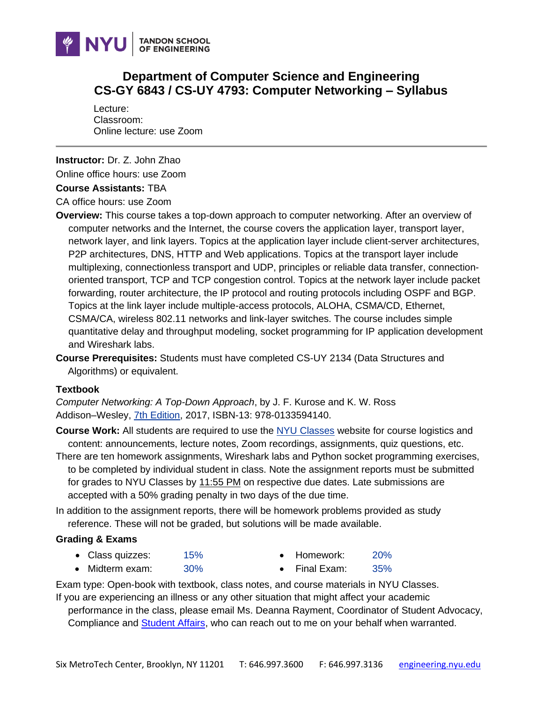

# **Department of Computer Science and Engineering CS-GY 6843 / CS-UY 4793: Computer Networking – Syllabus**

Lecture: Classroom: Online lecture: use Zoom.

**Instructor:** Dr. Z. John Zhao

Online office hours: use Zoom

### **Course Assistants: TBA**

CA office hours: use Zoom

- **Overview:** This course takes a top-down approach to computer networking. After an overview of computer networks and the Internet, the course covers the application layer, transport layer, network layer, and link layers. Topics at the application layer include client-server architectures, P2P architectures, DNS, HTTP and Web applications. Topics at the transport layer include multiplexing, connectionless transport and UDP, principles or reliable data transfer, connectionoriented transport, TCP and TCP congestion control. Topics at the network layer include packet forwarding, router architecture, the IP protocol and routing protocols including OSPF and BGP. Topics at the link layer include multiple-access protocols, ALOHA, CSMA/CD, Ethernet, CSMA/CA, wireless 802.11 networks and link-layer switches. The course includes simple quantitative delay and throughput modeling, socket programming for IP application development and Wireshark labs.
- **Course Prerequisites:** Students must have completed CS-UY 2134 (Data Structures and Algorithms) or equivalent.

### **Textbook**

*Computer Networking: A Top-Down Approach*, by J. F. Kurose and K. W. Ross Addison–Wesley, [7th Edition,](https://www.pearson.com/us/higher-education/program/Kurose-Computer-Networking-A-Top-Down-Approach-7th-Edition/PGM1101673.html) 2017, ISBN-13: 978-0133594140.

**Course Work:** All students are required to use the [NYU Classes](https://newclasses.nyu.edu/) website for course logistics and content: announcements, lecture notes, Zoom recordings, assignments, quiz questions, etc.

- There are ten homework assignments, Wireshark labs and Python socket programming exercises, to be completed by individual student in class. Note the assignment reports must be submitted for grades to NYU Classes by 11:55 PM on respective due dates. Late submissions are accepted with a 50% grading penalty in two days of the due time.
- In addition to the assignment reports, there will be homework problems provided as study reference. These will not be graded, but solutions will be made available.

### **Grading & Exams**

- Class quizzes: 15% • Homework: 20%
- Midterm exam: 30%
- Final Exam: 35%

Exam type: Open-book with textbook, class notes, and course materials in NYU Classes.

If you are experiencing an illness or any other situation that might affect your academic performance in the class, please email Ms. Deanna Rayment, Coordinator of Student Advocacy,

Compliance and **Student Affairs**, who can reach out to me on your behalf when warranted.